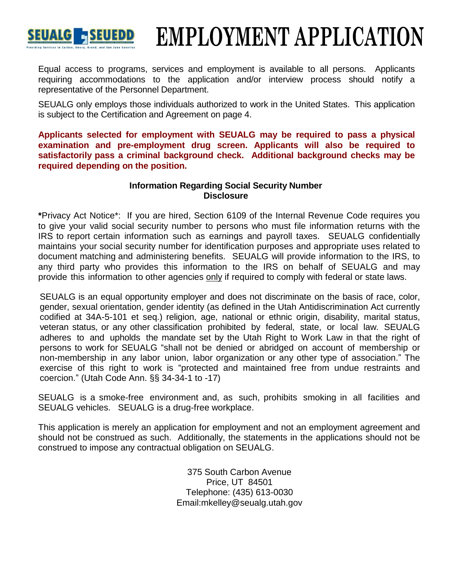

# **EMPLOYMENT APPLICATION**

Equal access to programs, services and employment is available to all persons. Applicants requiring accommodations to the application and/or interview process should notify a representative of the Personnel Department.

SEUALG only employs those individuals authorized to work in the United States. This application is subject to the Certification and Agreement on page 4.

**Applicants selected for employment with SEUALG may be required to pass a physical examination and pre-employment drug screen. Applicants will also be required to satisfactorily pass a criminal background check. Additional background checks may be required depending on the position.**

## **Information Regarding Social Security Number Disclosure**

**\***Privacy Act Notice\*: If you are hired, Section 6109 of the Internal Revenue Code requires you to give your valid social security number to persons who must file information returns with the IRS to report certain information such as earnings and payroll taxes. SEUALG confidentially maintains your social security number for identification purposes and appropriate uses related to document matching and administering benefits. SEUALG will provide information to the IRS, to any third party who provides this information to the IRS on behalf of SEUALG and may provide this information to other agencies only if required to comply with federal or state laws.

SEUALG is an equal opportunity employer and does not discriminate on the basis of race, color, gender, sexual orientation, gender identity (as defined in the Utah Antidiscrimination Act currently codified at 34A-5-101 et seq.) religion, age, national or ethnic origin, disability, marital status, veteran status, or any other classification prohibited by federal, state, or local law. SEUALG adheres to and upholds the mandate set by the Utah Right to Work Law in that the right of persons to work for SEUALG "shall not be denied or abridged on account of membership or non-membership in any labor union, labor organization or any other type of association." The exercise of this right to work is "protected and maintained free from undue restraints and coercion." (Utah Code Ann. §§ 34-34-1 to -17)

SEUALG is a smoke-free environment and, as such, prohibits smoking in all facilities and SEUALG vehicles. SEUALG is a drug-free workplace.

This application is merely an application for employment and not an employment agreement and should not be construed as such. Additionally, the statements in the applications should not be construed to impose any contractual obligation on SEUALG.

> 375 South Carbon Avenue Price, UT 84501 Telephone: (435) 613-0030 Email:mkelley@seualg.utah.gov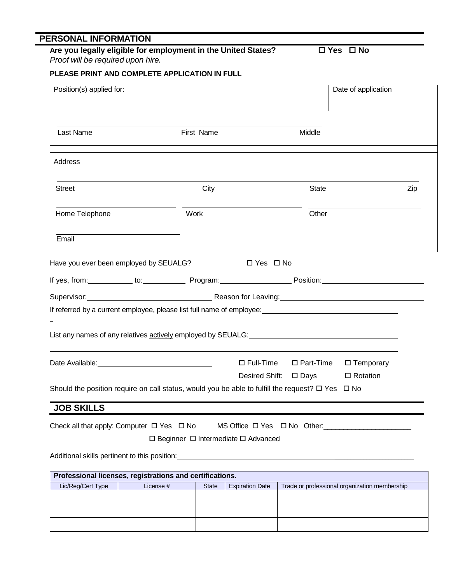## **PERSONAL INFORMATION**

# Are you legally eligible for employment in the United States? <br>
□ Yes □ No

*Proof will be required upon hire.*

### **PLEASE PRINT AND COMPLETE APPLICATION IN FULL**

| Position(s) applied for: |                                                                                                                                                                                                                                      |              |                                                     |                     | Date of application                           |     |
|--------------------------|--------------------------------------------------------------------------------------------------------------------------------------------------------------------------------------------------------------------------------------|--------------|-----------------------------------------------------|---------------------|-----------------------------------------------|-----|
| Last Name                |                                                                                                                                                                                                                                      | First Name   |                                                     | Middle              |                                               |     |
| Address                  |                                                                                                                                                                                                                                      |              |                                                     |                     |                                               |     |
| <b>Street</b>            |                                                                                                                                                                                                                                      | City         |                                                     | <b>State</b>        |                                               | Zip |
| Home Telephone           |                                                                                                                                                                                                                                      | Work         |                                                     | Other               |                                               |     |
| Email                    |                                                                                                                                                                                                                                      |              |                                                     |                     |                                               |     |
|                          | Have you ever been employed by SEUALG?                                                                                                                                                                                               |              | $\Box$ Yes $\Box$ No                                |                     |                                               |     |
|                          | <u>If yes, from:____________ to:_______________Program:_____________________Position:____________________________</u>                                                                                                                |              |                                                     |                     |                                               |     |
|                          |                                                                                                                                                                                                                                      |              |                                                     |                     |                                               |     |
|                          | If referred by a current employee, please list full name of employee:<br>Separation of employers in the manner of employee: Separation of employee: Separation of employee: Separation of employee: Separation of employee:  Sep     |              |                                                     |                     |                                               |     |
|                          |                                                                                                                                                                                                                                      |              |                                                     |                     |                                               |     |
|                          | List any names of any relatives actively employed by SEUALG: <u>example and a serie of the series of any relative</u>                                                                                                                |              |                                                     |                     |                                               |     |
|                          | Date Available: <u>contract and a series of the series of the series of the series of the series of the series of the series of the series of the series of the series of the series of the series of the series of the series o</u> |              | $\Box$ Full-Time                                    | $\square$ Part-Time | $\square$ Temporary                           |     |
|                          |                                                                                                                                                                                                                                      |              | Desired Shift: □ Days                               |                     | $\Box$ Rotation                               |     |
|                          | Should the position require on call status, would you be able to fulfill the request? $\Box$ Yes $\Box$ No                                                                                                                           |              |                                                     |                     |                                               |     |
|                          |                                                                                                                                                                                                                                      |              |                                                     |                     |                                               |     |
| <b>JOB SKILLS</b>        |                                                                                                                                                                                                                                      |              |                                                     |                     |                                               |     |
|                          | Check all that apply: Computer $\Box$ Yes $\Box$ No                                                                                                                                                                                  |              |                                                     |                     | MS Office $\Box$ Yes $\Box$ No Other:         |     |
|                          |                                                                                                                                                                                                                                      |              | $\Box$ Beginner $\Box$ Intermediate $\Box$ Advanced |                     |                                               |     |
|                          | Additional skills pertinent to this position: __________________________________                                                                                                                                                     |              |                                                     |                     |                                               |     |
|                          | Professional licenses, registrations and certifications.                                                                                                                                                                             |              |                                                     |                     |                                               |     |
| Lic/Reg/Cert Type        | License #                                                                                                                                                                                                                            | <b>State</b> | <b>Expiration Date</b>                              |                     | Trade or professional organization membership |     |
|                          |                                                                                                                                                                                                                                      |              |                                                     |                     |                                               |     |
|                          |                                                                                                                                                                                                                                      |              |                                                     |                     |                                               |     |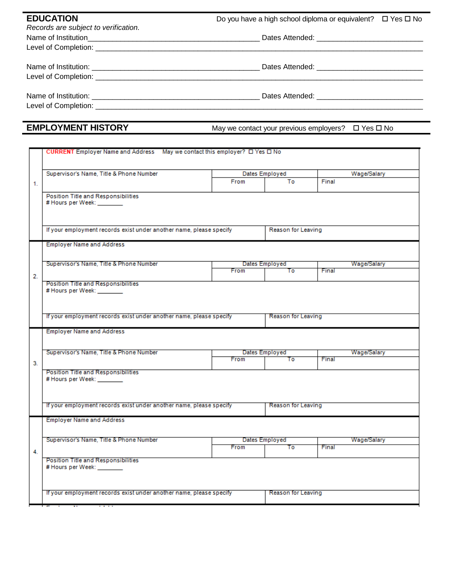| <b>EDUCATION</b>                     | Do you have a high school diploma or equivalent? $\Box$ Yes $\Box$ No |  |  |  |  |
|--------------------------------------|-----------------------------------------------------------------------|--|--|--|--|
| Records are subject to verification. |                                                                       |  |  |  |  |
|                                      |                                                                       |  |  |  |  |
|                                      |                                                                       |  |  |  |  |
|                                      |                                                                       |  |  |  |  |
|                                      |                                                                       |  |  |  |  |
|                                      |                                                                       |  |  |  |  |
|                                      |                                                                       |  |  |  |  |

|  | <b>EMPLOYMENT HISTORY</b> |  |  |
|--|---------------------------|--|--|
|--|---------------------------|--|--|

**EXPLOM** May we contact your previous employers?  $\Box$  Yes  $\Box$  No

|    | CURRENT Employer Name and Address May we contact this employer? $\Box$ Yes $\Box$ No |      |                      |                      |  |  |
|----|--------------------------------------------------------------------------------------|------|----------------------|----------------------|--|--|
|    |                                                                                      |      |                      |                      |  |  |
|    | Supervisor's Name, Title & Phone Number                                              |      | Dates Employed       | Wage/Salary          |  |  |
| 1. |                                                                                      | From | To                   | Final                |  |  |
|    | Position Title and Responsibilities<br># Hours per Week:                             |      |                      |                      |  |  |
|    | If your employment records exist under another name, please specify                  |      |                      | Reason for Leaving   |  |  |
|    | <b>Employer Name and Address</b>                                                     |      |                      |                      |  |  |
|    | Supervisor's Name, Title & Phone Number                                              | From | Dates Employed<br>Τo | Wage/Salary<br>Final |  |  |
| 2. |                                                                                      |      |                      |                      |  |  |
|    | Position Title and Responsibilities<br># Hours per Week: _______                     |      |                      |                      |  |  |
|    | If your employment records exist under another name, please specify                  |      | Reason for Leaving   |                      |  |  |
|    | <b>Employer Name and Address</b>                                                     |      |                      |                      |  |  |
|    | Supervisor's Name, Title & Phone Number                                              | From | Dates Employed<br>To | Wage/Salary<br>Final |  |  |
| 3. |                                                                                      |      |                      |                      |  |  |
|    | Position Title and Responsibilities<br># Hours per Week: _______                     |      |                      |                      |  |  |
|    |                                                                                      |      |                      |                      |  |  |
|    |                                                                                      |      |                      |                      |  |  |
|    | If your employment records exist under another name, please specify                  |      | Reason for Leaving   |                      |  |  |
|    | <b>Employer Name and Address</b>                                                     |      |                      |                      |  |  |
|    |                                                                                      |      |                      |                      |  |  |
|    | Supervisor's Name, Title & Phone Number<br>From                                      |      | Dates Employed<br>Τo | Wage/Salary<br>Final |  |  |
| 4. |                                                                                      |      |                      |                      |  |  |
|    | Position Title and Responsibilities<br># Hours per Week: _______                     |      |                      |                      |  |  |
|    |                                                                                      |      |                      |                      |  |  |
|    | If your employment records exist under another name, please specify                  |      | Reason for Leaving   |                      |  |  |
|    |                                                                                      |      |                      |                      |  |  |
|    |                                                                                      |      |                      |                      |  |  |